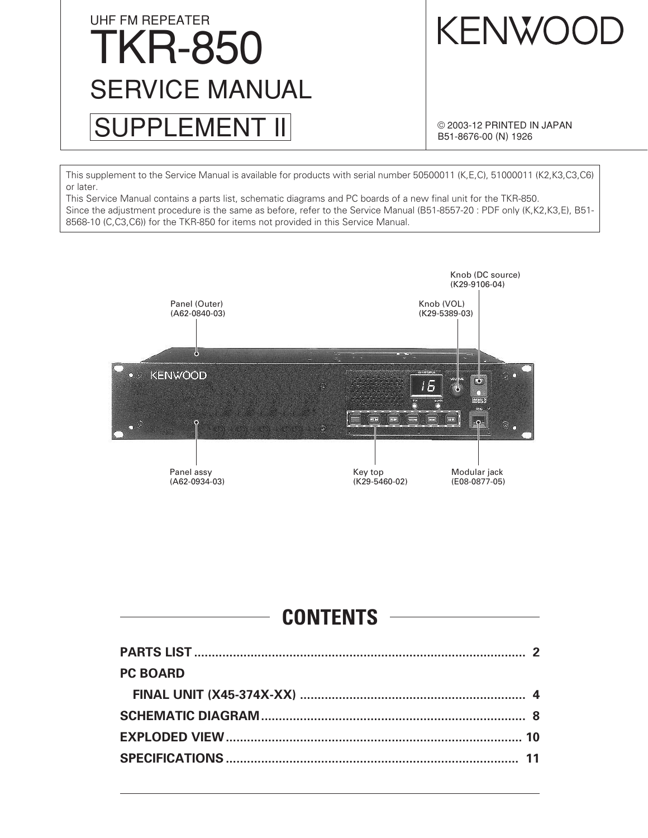# UHF FM REPEATER TKR-850 SUPPLEMENT II SERVICE MANUAL

KENWOOI

© 2003-12 PRINTED IN JAPAN B51-8676-00 (N) 1926

This supplement to the Service Manual is available for products with serial number 50500011 (K,E,C), 51000011 (K2,K3,C3,C6) or later.

This Service Manual contains a parts list, schematic diagrams and PC boards of a new final unit for the TKR-850. Since the adjustment procedure is the same as before, refer to the Service Manual (B51-8557-20 : PDF only (K,K2,K3,E), B51- 8568-10 (C,C3,C6)) for the TKR-850 for items not provided in this Service Manual.



### **CONTENTS**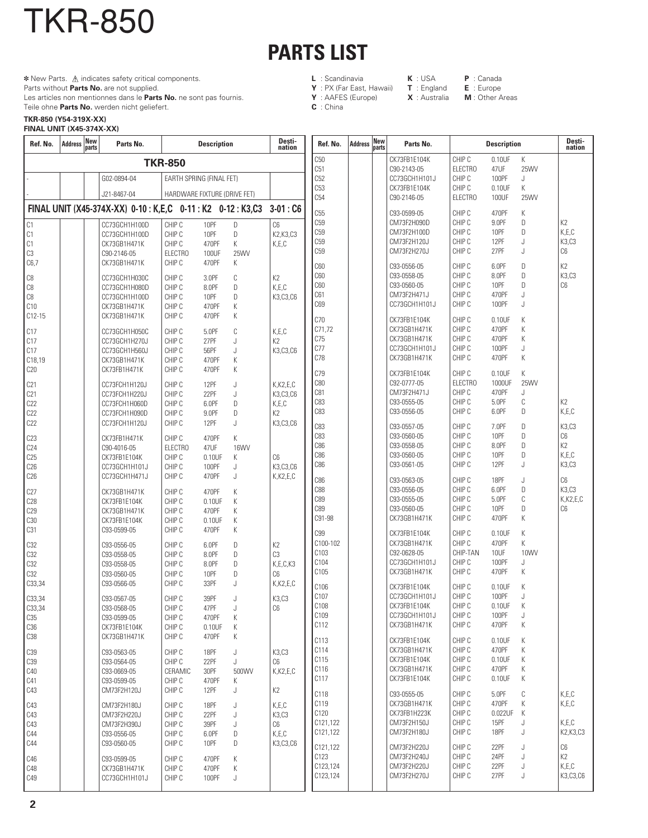# **PARTS LIST**

### **L** : Scandinavia **K** : USA **P** : Canada

**C** : China

- **Y** : PX (Far East, Hawaii)<br>**Y** : AAFES (Europe)
	-
- 

**X** : Australia **M** : Other Areas

Teile ohne **Parts No.** werden nicht geliefert. **TKR-850 (Y54-319X-XX)**

TKR-850

Parts without **Parts No.** are not supplied.

 **\*** New Parts.  $\triangle$  indicates safety critical components.

Les articles non mentionnes dans le **Parts No.** ne sont pas fournis.

#### **FINAL UNIT (X45-374X-XX)**

| Ref. No.             | <b>Address</b> | New<br>parts | Parts No.                                                    |                              | <b>Description</b> |             | Desti-<br>nation                      | Ref. No.                           | <b>Address</b> | New<br>parts | Parts No.                    |                          | <b>Description</b> |           | Desti-<br>nation  |
|----------------------|----------------|--------------|--------------------------------------------------------------|------------------------------|--------------------|-------------|---------------------------------------|------------------------------------|----------------|--------------|------------------------------|--------------------------|--------------------|-----------|-------------------|
|                      |                |              |                                                              | <b>TKR-850</b>               |                    |             |                                       | C50                                |                |              | CK73FB1E104K                 | CHIP C                   | 0.10UF             | К         |                   |
|                      |                |              | G02-0894-04                                                  | EARTH SPRING (FINAL FET)     |                    |             |                                       | C51<br>C52                         |                |              | C90-2143-05<br>CC73GCH1H101J | <b>ELECTRO</b><br>CHIP C | 47UF<br>100PF      | 25WV<br>J |                   |
|                      |                |              |                                                              |                              |                    |             |                                       | C <sub>53</sub>                    |                |              | CK73FB1E104K                 | CHIP C                   | 0.10UF             | Κ         |                   |
|                      |                |              | J21-8467-04                                                  | HARDWARE FIXTURE (DRIVE FET) |                    |             |                                       | C54                                |                |              | C90-2146-05                  | <b>ELECTRO</b>           | 100UF              | 25WV      |                   |
|                      |                |              | FINAL UNIT (X45-374X-XX) 0-10 : K,E,C 0-11 : K2 0-12 : K3,C3 |                              |                    |             | $3-01:C6$                             | C55                                |                |              | C93-0599-05                  | CHIP C                   | 470PF              | Κ         |                   |
| C1                   |                |              | CC73GCH1H100D                                                | CHIP C                       | 10PF               | D           | C6                                    | C <sub>59</sub>                    |                |              | CM73F2H090D                  | CHIP C                   | 9.0PF              | D         | K2                |
| C <sub>1</sub>       |                |              | CC73GCH1H100D                                                | CHIP C                       | 10PF               | D           | K2, K3, C3                            | C <sub>59</sub><br>C <sub>59</sub> |                |              | CM73F2H100D<br>CM73F2H120J   | CHIP C<br>CHIP C         | 10PF<br>12PF       | D<br>J    | K,E,C<br>K3,C3    |
| C1<br>C <sub>3</sub> |                |              | CK73GB1H471K<br>C90-2146-05                                  | CHIP C<br><b>ELECTRO</b>     | 470PF<br>100UF     | K<br>25WV   | K,E,C                                 | C <sub>59</sub>                    |                |              | CM73F2H270J                  | CHIP C                   | 27PF               | J         | C6                |
| C6,7                 |                |              | CK73GB1H471K                                                 | CHIP C                       | 470PF              | Κ           |                                       |                                    |                |              |                              |                          |                    |           |                   |
|                      |                |              |                                                              |                              |                    |             |                                       | C60<br>C60                         |                |              | C93-0556-05<br>C93-0558-05   | CHIP C<br>CHIP C         | 6.0PF<br>8.0PF     | D<br>D    | K2<br>K3,C3       |
| C8<br>C8             |                |              | CC73GCH1H030C<br>CC73GCH1H080D                               | CHIP C<br>CHIP C             | 3.0PF<br>8.0PF     | С<br>D      | K <sub>2</sub><br>K,E,C               | C60                                |                |              | C93-0560-05                  | CHIP C                   | 10PF               | D         | C6                |
| C8                   |                |              | CC73GCH1H100D                                                | CHIP C                       | 10PF               | D           | K3,C3,C6                              | C61                                |                |              | CM73F2H471J                  | CHIP C                   | 470PF              | J         |                   |
| C10                  |                |              | CK73GB1H471K                                                 | CHIP C                       | 470PF              | Κ           |                                       | C69                                |                |              | CC73GCH1H101J                | CHIP C                   | 100PF              | J         |                   |
| $C12-15$             |                |              | CK73GB1H471K                                                 | CHIP C                       | 470PF              | К           |                                       | C70                                |                |              | CK73FB1E104K                 | CHIP C                   | 0.10UF             | Κ         |                   |
| C17                  |                |              | CC73GCH1H050C                                                | CHIP C                       | 5.0PF              | С           | K,E,C                                 | C71,72                             |                |              | CK73GB1H471K                 | CHIP C                   | 470PF              | Κ         |                   |
| C17                  |                |              | CC73GCH1H270J                                                | CHIP C                       | 27PF               | J           | K <sub>2</sub>                        | C75                                |                |              | CK73GB1H471K                 | CHIP C                   | 470PF              | Κ         |                   |
| C17                  |                |              | CC73GCH1H560J                                                | CHIP C                       | 56PF               | J           | K3,C3,C6                              | C77                                |                |              | CC73GCH1H101J                | CHIP C                   | 100PF              | J         |                   |
| C18,19               |                |              | CK73GB1H471K                                                 | CHIP C                       | 470PF              | Κ           |                                       | C78                                |                |              | CK73GB1H471K                 | CHIP C                   | 470PF              | Κ         |                   |
| C20                  |                |              | CK73FB1H471K                                                 | CHIP C                       | 470PF              | К           |                                       | C79                                |                |              | CK73FB1E104K                 | CHIP C                   | 0.10UF             | K         |                   |
| C21                  |                |              | CC73FCH1H120J                                                | CHIP C                       | 12PF               | J           | K,K2,E,C                              | C80                                |                |              | C92-0777-05                  | <b>ELECTRO</b>           | 1000UF             | 25WV      |                   |
| C21                  |                |              | CC73FCH1H220J                                                | CHIP C                       | 22PF               | J           | K3,C3,C6                              | C81                                |                |              | CM73F2H471J                  | CHIP C                   | 470PF              | J         |                   |
| C22                  |                |              | CC73FCH1H060D                                                | CHIP C                       | 6.0PF              | D           | K, E, C                               | C83                                |                |              | C93-0555-05                  | CHIP C                   | 5.0PF              | C         | K2                |
| C22                  |                |              | CC73FCH1H090D                                                | CHIP C                       | 9.0PF              | D           | K <sub>2</sub>                        | C83                                |                |              | C93-0556-05                  | CHIP C                   | 6.0PF              | D         | K,E,C             |
| C22                  |                |              | CC73FCH1H120J                                                | CHIP C                       | 12PF               | J           | K3,C3,C6                              | C83                                |                |              | C93-0557-05                  | CHIP C                   | 7.0PF              | D         | K3,C3             |
| C23                  |                |              | CK73FB1H471K                                                 | CHIP C                       | 470PF              | К           |                                       | C83                                |                |              | C93-0560-05                  | CHIP C                   | 10PF               | D         | C6                |
| C <sub>24</sub>      |                |              | C90-4016-05                                                  | <b>ELECTRO</b>               | 47UF               | <b>16WV</b> |                                       | C86<br>C86                         |                |              | C93-0558-05<br>C93-0560-05   | CHIP C<br>CHIP C         | 8.0PF<br>10PF      | D<br>D    | K2<br>K,E,C       |
| C25<br>C26           |                |              | CK73FB1E104K                                                 | CHIP C<br>CHIP C             | 0.10UF<br>100PF    | К           | C <sub>6</sub>                        | C86                                |                |              | C93-0561-05                  | CHIP C                   | 12PF               | J         | K3,C3             |
| C26                  |                |              | CC73GCH1H101J<br>CC73GCH1H471J                               | CHIP C                       | 470PF              | J<br>J      | K3,C3,C6<br>$K$ , $K$ $2$ , $E$ , $C$ |                                    |                |              |                              |                          |                    |           |                   |
|                      |                |              |                                                              |                              |                    |             |                                       | C86                                |                |              | C93-0563-05                  | CHIP C                   | 18PF               | J         | C6                |
| C27                  |                |              | CK73GB1H471K                                                 | CHIP C                       | 470PF              | Κ           |                                       | C88<br>C89                         |                |              | C93-0556-05<br>C93-0555-05   | CHIP C<br>CHIP C         | 6.0PF<br>5.0PF     | D<br>C    | K3,C3<br>K,K2,E,C |
| C28<br>C29           |                |              | CK73FB1E104K<br>CK73GB1H471K                                 | CHIP C<br>CHIP C             | 0.10UF<br>470PF    | К<br>К      |                                       | C89                                |                |              | C93-0560-05                  | CHIP C                   | 10PF               | D         | C6                |
| C <sub>30</sub>      |                |              | CK73FB1E104K                                                 | CHIP C                       | 0.10UF             | К           |                                       | C91-98                             |                |              | CK73GB1H471K                 | CHIP C                   | 470PF              | K         |                   |
| C31                  |                |              | C93-0599-05                                                  | CHIP C                       | 470PF              | Κ           |                                       | C <sub>99</sub>                    |                |              | CK73FB1E104K                 | CHIP C                   | 0.10UF             | Κ         |                   |
|                      |                |              |                                                              |                              | 6.0PF              | D           | K <sub>2</sub>                        | C100-102                           |                |              | CK73GB1H471K                 | CHIP C                   | 470PF              | Κ         |                   |
| C32<br>C32           |                |              | C93-0556-05<br>C93-0558-05                                   | CHIP C<br>CHIP C             | 8.0PF              | D           | C <sub>3</sub>                        | C103                               |                |              | C92-0628-05                  | CHIP-TAN                 | 10UF               | 10WV      |                   |
| C32                  |                |              | C93-0558-05                                                  | CHIP C                       | 8.0PF              | D           | K,E,C,K3                              | C104                               |                |              | CC73GCH1H101J                | CHIP C                   | 100PF              | J         |                   |
| C32                  |                |              | C93-0560-05                                                  | CHIP C                       | 10PF               | D           | C <sub>6</sub>                        | C105                               |                |              | CK73GB1H471K                 | CHIP C                   | 470PF              | K         |                   |
| C33,34               |                |              | C93-0566-05                                                  | CHIP C                       | 33PF               | J           | $K$ , $K$ $2$ , $E$ , $C$             | C106                               |                |              | CK73FB1E104K                 | CHIP C                   | 0.10UF             | K         |                   |
| C33,34               |                |              | C93-0567-05                                                  | CHIP C                       | 39PF               | J           | K3,C3                                 | C107                               |                |              | CC73GCH1H101J                | CHIP C                   | 100PF              | J         |                   |
| C33,34               |                |              | C93-0568-05                                                  | CHIP C                       | 47PF               |             | $\mathbb{C}6$                         | C108                               |                |              | CK73FB1E104K                 | CHIP C                   | $0.10$ UF          | К         |                   |
| C35                  |                |              | C93-0599-05                                                  | CHIP C                       | 470PF              | Κ           |                                       | C109                               |                |              | CC73GCH1H101J                | CHIP C                   | 100PF              | J         |                   |
| C36                  |                |              | CK73FB1E104K                                                 | CHIP C                       | 0.10UF             | К           |                                       | C112                               |                |              | CK73GB1H471K                 | CHIP C                   | 470PF              | К         |                   |
| C38                  |                |              | CK73GB1H471K                                                 | CHIP C                       | 470PF              | К           |                                       | C113                               |                |              | CK73FB1E104K                 | CHIP C                   | 0.10UF             | Κ         |                   |
| C <sub>39</sub>      |                |              | C93-0563-05                                                  | CHIP C                       | 18PF               | J           | K3,C3                                 | C114                               |                |              | CK73GB1H471K                 | CHIP C                   | 470PF              | Κ         |                   |
| C <sub>39</sub>      |                |              | C93-0564-05                                                  | CHIP C                       | 22PF               | J           | C6                                    | C115                               |                |              | CK73FB1E104K                 | CHIP C                   | 0.10UF             | K         |                   |
| C40                  |                |              | C93-0669-05                                                  | CERAMIC                      | 30PF               | 500WV       | $K$ , $K$ $2$ , $E$ , $C$             | C116<br>C117                       |                |              | CK73GB1H471K<br>CK73FB1E104K | CHIP C<br>CHIP C         | 470PF<br>0.10UF    | Κ<br>Κ    |                   |
| C41<br>C43           |                |              | C93-0599-05<br>CM73F2H120J                                   | CHIP C<br>CHIP C             | 470PF<br>12PF      | Κ<br>J      | K <sub>2</sub>                        |                                    |                |              |                              |                          |                    |           |                   |
|                      |                |              |                                                              |                              |                    |             |                                       | C118                               |                |              | C93-0555-05                  | CHIP C                   | 5.0PF              | C         | K,E,C             |
| C43                  |                |              | CM73F2H180J                                                  | CHIP C                       | 18PF               | J           | K, E, C                               | C119<br>C120                       |                |              | CK73GB1H471K<br>CK73FB1H223K | CHIP C<br>CHIP C         | 470PF<br>0.022UF   | К<br>К    | K,E,C             |
| C43                  |                |              | CM73F2H220J                                                  | CHIP C                       | 22PF               | J           | K3,C3                                 | C121,122                           |                |              | CM73F2H150J                  | CHIP C                   | 15PF               | J         | K.E.C             |
| C43<br>C44           |                |              | CM73F2H390J<br>C93-0556-05                                   | CHIP C<br>CHIP C             | 39PF<br>6.0PF      | J<br>D      | C6<br>K,E,C                           | C121,122                           |                |              | CM73F2H180J                  | CHIP C                   | 18PF               | J         | K2, K3, C3        |
| C44                  |                |              | C93-0560-05                                                  | CHIP C                       | 10PF               | D           | K3,C3,C6                              |                                    |                |              |                              |                          |                    |           |                   |
|                      |                |              |                                                              |                              |                    |             |                                       | C121,122<br>C123                   |                |              | CM73F2H220J<br>CM73F2H240J   | CHIP C<br>CHIP C         | 22PF<br>24PF       | J<br>J    | C6<br>K2          |
| C46<br>C48           |                |              | C93-0599-05<br>CK73GB1H471K                                  | CHIP C<br>CHIP C             | 470PF<br>470PF     | Κ<br>К      |                                       | C123,124                           |                |              | CM73F2H220J                  | CHIP C                   | 22PF               | J         | K, E, C           |
| C49                  |                |              | CC73GCH1H101J                                                | CHIP C                       | 100PF              | J           |                                       | C123,124                           |                |              | CM73F2H270J                  | CHIP C                   | 27PF               | J         | K3,C3,C6          |
|                      |                |              |                                                              |                              |                    |             |                                       |                                    |                |              |                              |                          |                    |           |                   |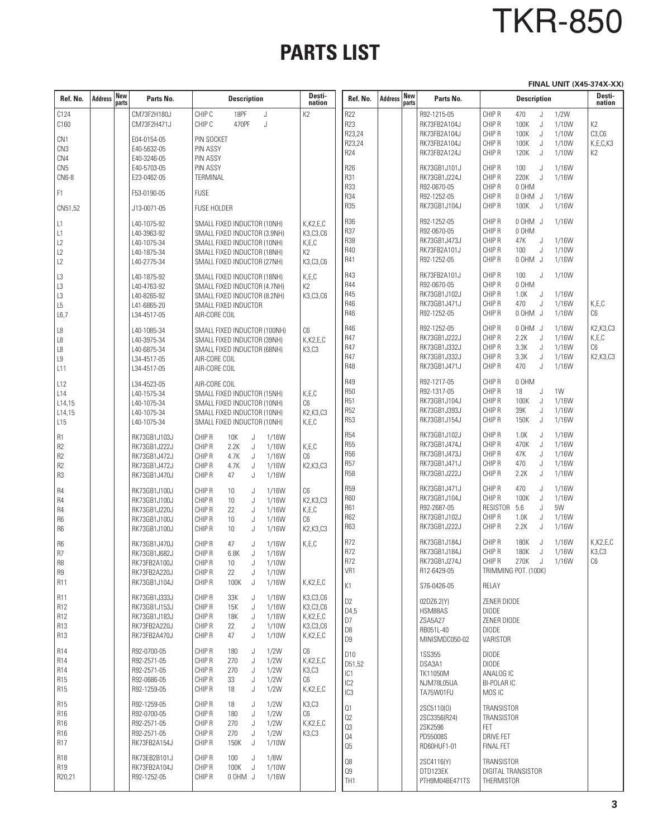# TKR-850

## **PARTS LIST**

**FINAL UNIT (X45-374X-XX)**

| Ref. No.                                                                               | <b>Address</b> | <b>New</b><br>parts | Parts No.                                                                    | <b>Description</b>                                                                                                                                              | Desti-<br>nation                                                             | Ref. No.                                                                           | <b>Address</b> | New<br>parts | Parts No.                                                                    | <b>Description</b>                                                                                                                                         | Desti-<br>nation                        |
|----------------------------------------------------------------------------------------|----------------|---------------------|------------------------------------------------------------------------------|-----------------------------------------------------------------------------------------------------------------------------------------------------------------|------------------------------------------------------------------------------|------------------------------------------------------------------------------------|----------------|--------------|------------------------------------------------------------------------------|------------------------------------------------------------------------------------------------------------------------------------------------------------|-----------------------------------------|
| C124<br>C160                                                                           |                |                     | CM73F2H180J<br>CM73F2H471J                                                   | CHIP C<br>18PF<br>J<br>CHIP C<br>470PF<br>J                                                                                                                     | K <sub>2</sub>                                                               | R22<br>R23<br>R23,24                                                               |                |              | R92-1215-05<br>RK73FB2A104J<br>RK73FB2A104J                                  | CHIP R<br>470<br>1/2W<br>J<br>CHIP R<br>100K<br>J<br>1/10W<br>CHIP R<br>100K<br>1/10W<br>J                                                                 | K2<br>C3, C6                            |
| CN <sub>1</sub><br>CN3<br>CN4                                                          |                |                     | E04-0154-05<br>E40-5632-05<br>E40-3246-05                                    | PIN SOCKET<br>PIN ASSY<br>PIN ASSY                                                                                                                              |                                                                              | R23,24<br>R24                                                                      |                |              | RK73FB2A104J<br>RK73FB2A124J                                                 | CHIP R<br>100K<br>J<br>1/10W<br>CHIP R<br>120K<br>1/10W<br>J                                                                                               | K,E,C,K3<br>K2                          |
| CN5<br>CN6-8                                                                           |                |                     | E40-5703-05<br>E23-0462-05                                                   | PIN ASSY<br>TERMINAL                                                                                                                                            |                                                                              | R26<br>R31<br>R33                                                                  |                |              | RK73GB1J101J<br>RK73GB1J224J<br>R92-0670-05                                  | CHIP R<br>100<br>1/16W<br>J<br>CHIP R<br>220K<br>1/16W<br>J<br>CHIP R<br>0 OHM                                                                             |                                         |
| F1<br>CN51,52                                                                          |                |                     | F53-0190-05<br>J13-0071-05                                                   | <b>FUSE</b><br><b>FUSE HOLDER</b>                                                                                                                               |                                                                              | R34<br><b>R35</b>                                                                  |                |              | R92-1252-05<br>RK73GB1J104J                                                  | CHIP R<br>0 OHM J<br>1/16W<br>CHIP R<br>100K J<br>1/16W                                                                                                    |                                         |
| L1<br>L1<br>L2<br>L2<br>L2                                                             |                |                     | L40-1075-92<br>L40-3963-92<br>L40-1075-34<br>L40-1875-34<br>L40-2775-34      | SMALL FIXED INDUCTOR (10NH)<br>SMALL FIXED INDUCTOR (3.9NH)<br>SMALL FIXED INDUCTOR (10NH)<br>SMALL FIXED INDUCTOR (18NH)<br>SMALL FIXED INDUCTOR (27NH)        | $K$ , $K$ $2$ , $E$ , $C$<br>K3,C3,C6<br>K,E,C<br>K <sub>2</sub><br>K3,C3,C6 | R36<br>R37<br><b>R38</b><br>R40<br>R41                                             |                |              | R92-1252-05<br>R92-0670-05<br>RK73GB1J473J<br>RK73FB2A101J<br>R92-1252-05    | CHIP R<br>0 OHM J<br>1/16W<br>CHIP R<br>0 OHM<br>CHIP R<br>47K<br>J<br>1/16W<br>CHIP R<br>100<br>J<br>1/10W<br>CHIP R<br>0 OHM J<br>1/16W                  |                                         |
| L3<br>L3<br>L3<br>L <sub>5</sub><br>L6,7                                               |                |                     | L40-1875-92<br>L40-4763-92<br>L40-8265-92<br>L41-6865-20<br>L34-4517-05      | SMALL FIXED INDUCTOR (18NH)<br>SMALL FIXED INDUCTOR (4.7NH)<br>SMALL FIXED INDUCTOR (8.2NH)<br>SMALL FIXED INDUCTOR<br>AIR-CORE COIL                            | K,E,C<br>K2<br>K3,C3,C6                                                      | R43<br>R44<br><b>R45</b><br>R46<br>R46                                             |                |              | RK73FB2A101J<br>R92-0670-05<br>RK73GB1J102J<br>RK73GB1J471J<br>R92-1252-05   | CHIP R<br>100<br>1/10W<br>J<br>CHIP R<br>0 OHM<br>CHIP R<br>1.0K<br>J<br>1/16W<br>CHIP R<br>470<br>J<br>1/16W<br>CHIP R<br>0 OHM J<br>1/16W                | K,E,C<br>C6                             |
| L8<br>L8<br>L8<br>L9<br>L11                                                            |                |                     | L40-1085-34<br>L40-3975-34<br>L40-6875-34<br>L34-4517-05<br>L34-4517-05      | SMALL FIXED INDUCTOR (100NH)<br>SMALL FIXED INDUCTOR (39NH)<br>SMALL FIXED INDUCTOR (68NH)<br>AIR-CORE COIL<br>AIR-CORE COIL                                    | C6<br>$K$ , $K$ $2$ , $E$ , $C$<br>K3,C3                                     | R46<br>R47<br>R47<br>R47<br><b>R48</b>                                             |                |              | R92-1252-05<br>RK73GB1J222J<br>RK73GB1J332J<br>RK73GB1J332J<br>RK73GB1J471J  | CHIP R<br>0 OHM J<br>1/16W<br>CHIP R<br>2.2K<br>1/16W<br>J<br>CHIP R<br>3.3K<br>1/16W<br>J<br>CHIP R<br>3.3K<br>J<br>1/16W<br>CHIP R<br>470<br>J<br>1/16W  | K2, K3, C3<br>K,E,C<br>C6<br>K2, K3, C3 |
| L12<br>L14<br>L14,15<br>L14,15<br>L <sub>15</sub>                                      |                |                     | L34-4523-05<br>L40-1575-34<br>L40-1075-34<br>L40-1075-34<br>L40-1075-34      | AIR-CORE COIL<br>SMALL FIXED INDUCTOR (15NH)<br>SMALL FIXED INDUCTOR (10NH)<br>SMALL FIXED INDUCTOR (10NH)<br>SMALL FIXED INDUCTOR (10NH)                       | K,E,C<br>C6<br>K2, K3, C3<br>K,E,C                                           | R49<br><b>R50</b><br><b>R51</b><br>R52<br><b>R53</b>                               |                |              | R92-1217-05<br>R92-1317-05<br>RK73GB1J104J<br>RK73GB1J393J<br>RK73GB1J154J   | CHIP R<br>0 OHM<br>CHIP R<br>18<br>1W<br>J<br>CHIP R<br>100K<br>1/16W<br>J<br>CHIP R<br>39K<br>1/16W<br>J<br>CHIP R<br>150K<br>1/16W<br>J                  |                                         |
| R <sub>1</sub><br>R <sub>2</sub><br>R <sub>2</sub><br>R <sub>2</sub><br>R3             |                |                     | RK73GB1J103J<br>RK73GB1J222J<br>RK73GB1J472J<br>RK73GB1J472J<br>RK73GB1J470J | CHIP R<br>10K<br>J<br>1/16W<br>CHIP R<br>2.2K<br>J<br>1/16W<br>CHIP R<br>4.7K<br>J<br>1/16W<br>CHIP R<br>4.7K<br>J<br>1/16W<br>CHIP R<br>J<br>1/16W<br>47       | K, E, C<br>C6<br>K2, K3, C3                                                  | R <sub>54</sub><br><b>R55</b><br><b>R56</b><br><b>R57</b><br><b>R58</b>            |                |              | RK73GB1J102J<br>RK73GB1J474J<br>RK73GB1J473J<br>RK73GB1J471J<br>RK73GB1J222J | CHIP R<br>1.0K<br>1/16W<br>J<br>CHIP R<br>470K<br>1/16W<br>J<br>CHIP R<br>47K<br>1/16W<br>J<br>CHIP R<br>470<br>1/16W<br>J<br>CHIP R<br>2.2K<br>1/16W<br>J |                                         |
| R <sub>4</sub><br>R <sub>4</sub><br>R <sub>4</sub><br>R <sub>6</sub><br>R <sub>6</sub> |                |                     | RK73GB1J100J<br>RK73GB1J100J<br>RK73GB1J220J<br>RK73GB1J100J<br>RK73GB1J100J | CHIP R<br>1/16W<br>10<br>J<br>CHIP R<br>10<br>J<br>1/16W<br>CHIP R<br>22<br>J<br>1/16W<br>CHIP R<br>J<br>1/16W<br>10 <sup>°</sup><br>CHIP R<br>10<br>1/16W<br>J | C6<br>K2.K3.C3<br>K,E,C<br>C6<br>K2, K3, C3                                  | <b>R59</b><br><b>R60</b><br>R61<br>R62<br>R63                                      |                |              | RK73GB1J471J<br>RK73GB1J104J<br>R92-2687-05<br>RK73GB1J102J<br>RK73GB1J222J  | CHIP R<br>470<br>1/16W<br>J<br>CHIP R<br>100K<br>1/16W<br>J<br>RESISTOR<br>5W<br>5.6<br>J<br>CHIP R<br>1.0K<br>J<br>1/16W<br>CHIP R<br>2.2K<br>1/16W<br>J  |                                         |
| R <sub>6</sub><br>R7<br>R <sub>8</sub><br>R <sub>9</sub><br>R <sub>11</sub>            |                |                     | RK73GB1J470J<br>RK73GB1J682J<br>RK73FB2A100J<br>RK73FB2A220J<br>RK73GB1J104J | CHIP R<br>47<br>1/16W<br>J<br>CHIP R<br>6.8K<br>J<br>1/16W<br>CHIP R<br>10<br>J<br>1/10W<br>CHIP R<br>22<br>J<br>1/10W<br>CHIP R<br>100K<br>J<br>1/16W          | K,E,C<br>K,K2,E,C                                                            | R72<br>R72<br>R72<br>VR1<br>K1                                                     |                |              | RK73GB1J184J<br>RK73GB1J184J<br>RK73GB1J274J<br>R12-6429-05<br>S76-0426-05   | CHIP R<br>180K<br>1/16W<br>J.<br>CHIP R<br>180K<br>J.<br>1/16W<br>CHIP R<br>270K J<br>1/16W<br>TRIMMING POT. (100K)<br>RELAY                               | K,K2,E,C<br>K3,C3<br>$\mathbb{C}6$      |
| R11<br>R <sub>12</sub><br>R <sub>12</sub><br>R <sub>13</sub><br>R <sub>13</sub>        |                |                     | RK73GB1J333J<br>RK73GB1J153J<br>RK73GB1J183J<br>RK73FB2A220J<br>RK73FB2A470J | CHIP R<br>33K<br>1/16W<br>J<br>CHIP R<br>J<br>15K<br>1/16W<br>CHIP R<br>18K<br>J<br>1/16W<br>CHIP R<br>22<br>J<br>1/10W<br>CHIP R<br>47<br>J<br>1/10W           | K3,C3,C6<br>K3,C3,C6<br>K,K2,E,C<br>K3,C3,C6<br>K,K2,E,C                     | D <sub>2</sub><br>D <sub>4</sub> ,5<br>D7<br>D8<br>D9                              |                |              | 02DZ6.2(Y)<br>HSM88AS<br>ZSA5A27<br>RB051L-40<br>MINISMDC050-02              | ZENER DIODE<br><b>DIODE</b><br>ZENER DIODE<br><b>DIODE</b><br>VARISTOR                                                                                     |                                         |
| R14<br>R <sub>14</sub><br>R <sub>14</sub><br>R <sub>15</sub><br>R <sub>15</sub>        |                |                     | R92-0700-05<br>R92-2571-05<br>R92-2571-05<br>R92-0686-05<br>R92-1259-05      | CHIP R<br>180<br>1/2W<br>J<br>CHIP R<br>1/2W<br>270<br>J<br>CHIP R<br>270<br>J<br>1/2W<br>CHIP R<br>33<br>J<br>1/2W<br>CHIP R<br>18<br>J<br>1/2W                | C6<br>K,K2,E,C<br>K3,C3<br>C6<br>K,K2,E,C                                    | D <sub>10</sub><br>D51,52<br>IC <sub>1</sub><br>IC <sub>2</sub><br>IC <sub>3</sub> |                |              | <b>1SS355</b><br>DSA3A1<br>TK11050M<br>NJM78L05UA<br>TA75W01FU               | <b>DIODE</b><br><b>DIODE</b><br>ANALOG IC<br><b>BI-POLAR IC</b><br>MOS IC                                                                                  |                                         |
| R15<br>R <sub>16</sub><br>R16<br>R <sub>16</sub><br>R17                                |                |                     | R92-1259-05<br>R92-0700-05<br>R92-2571-05<br>R92-2571-05<br>RK73FB2A154J     | CHIP R<br>1/2W<br>18<br>J<br>CHIP R<br>180<br>J<br>1/2W<br>CHIP R<br>270<br>J<br>1/2W<br>CHIP R<br>270<br>J<br>1/2W<br>CHIP R<br>150K<br>J<br>1/10W             | K3,C3<br>C6<br>$K$ , $K$ 2, $E$ , $C$<br>K3,C3                               | Q1<br>02<br>Q3<br>Q4<br>Q5                                                         |                |              | 2SC5110(0)<br>2SC3356(R24)<br>2SK2596<br>PD55008S<br>RD60HUF1-01             | TRANSISTOR<br>TRANSISTOR<br>FET.<br><b>DRIVE FET</b><br>FINAL FET                                                                                          |                                         |
| R18<br>R <sub>19</sub><br>R20,21                                                       |                |                     | RK73EB2B101J<br>RK73FB2A104J<br>R92-1252-05                                  | CHIP R<br>100<br>J<br>1/8W<br>CHIP R<br>100K J<br>1/10W<br>CHIP R<br>U MHO0<br>1/16W                                                                            |                                                                              | $\Omega 8$<br>$09$<br>TH <sub>1</sub>                                              |                |              | 2SC4116(Y)<br>DTD123EK<br>PTH9M04BE471TS                                     | TRANSISTOR<br>DIGITAL TRANSISTOR<br>THERMISTOR                                                                                                             |                                         |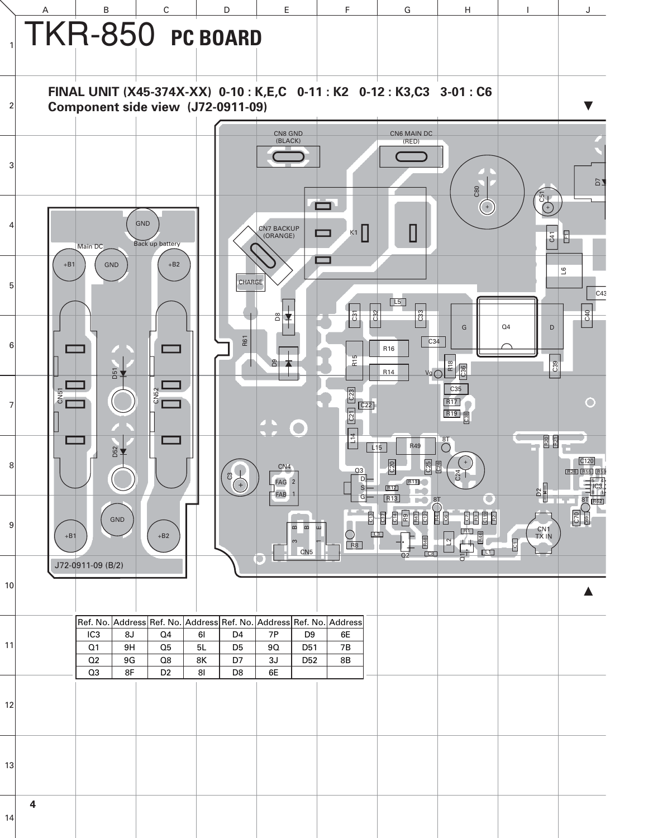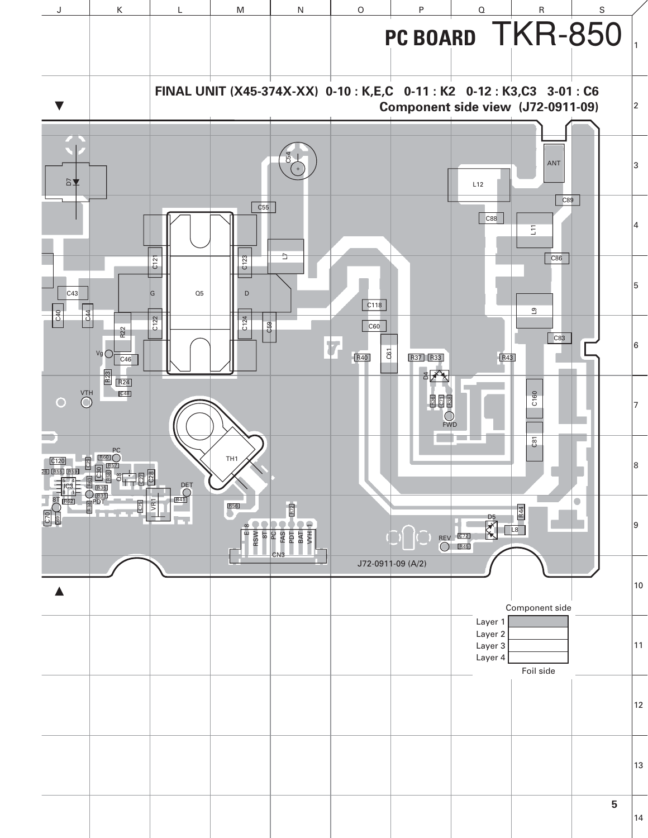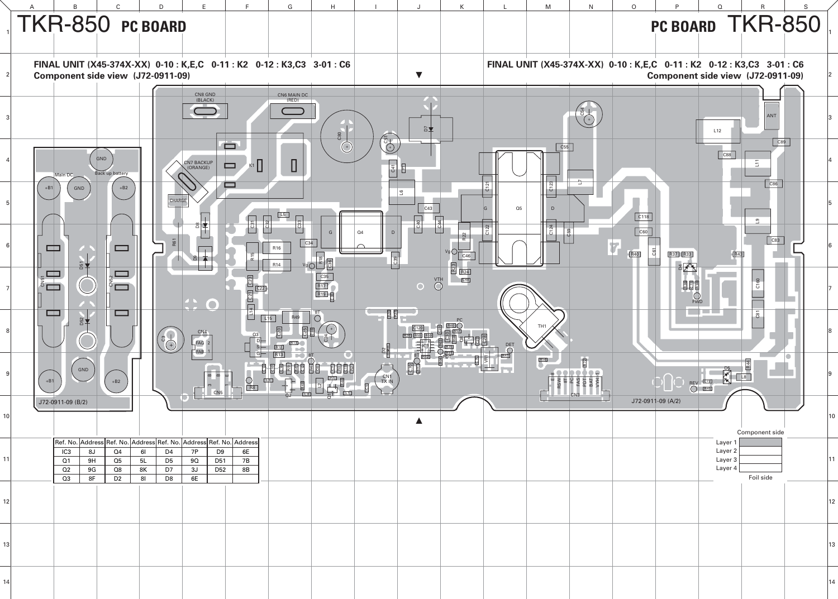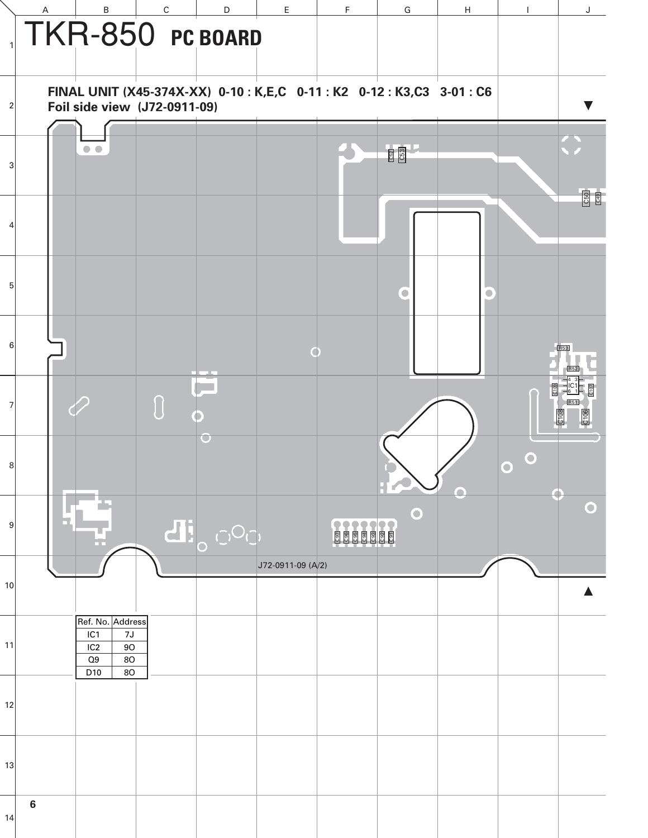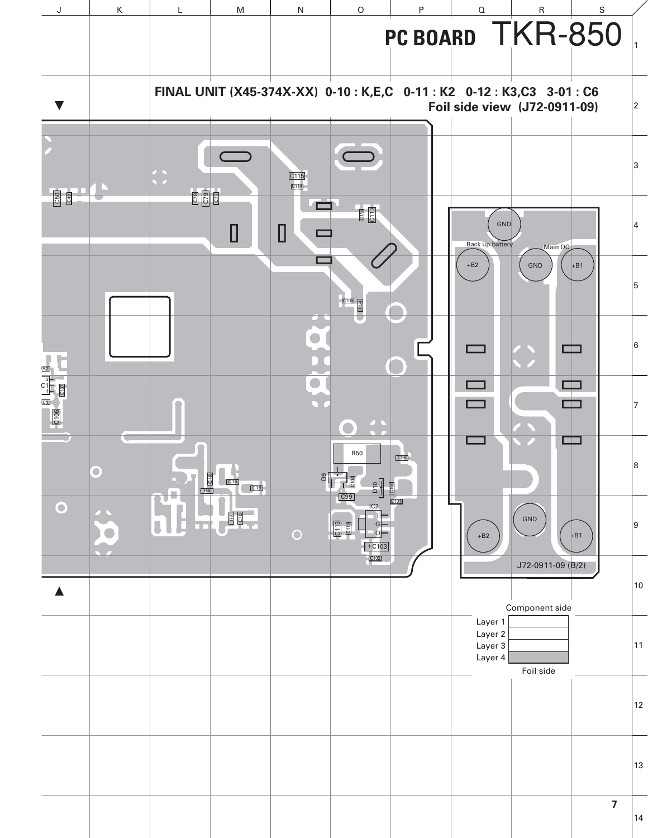![](_page_7_Figure_0.jpeg)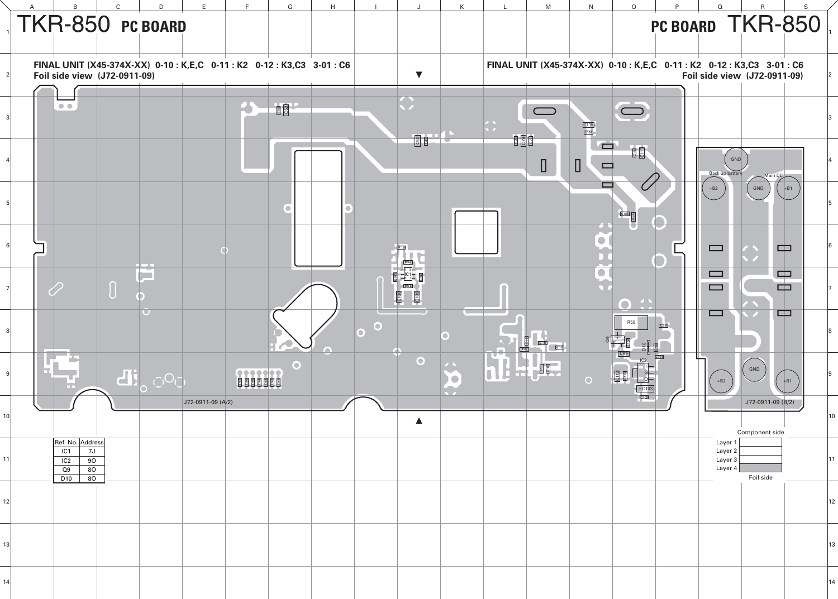|    | $\,$ B                                                                                      | $\mathsf{C}$<br>D                                                                                      | F.                | c. | G                 | $\mathsf H$ |           | J                                        | $\mathsf K$ |                          | M                                      | N                                  | $\mathsf O$                                                                                                                                                                                                                                                                                                                                                                                                                         | P   | $\Omega$                                               | $\mathsf{R}$                                                                                           | $\mathsf S$ |    |
|----|---------------------------------------------------------------------------------------------|--------------------------------------------------------------------------------------------------------|-------------------|----|-------------------|-------------|-----------|------------------------------------------|-------------|--------------------------|----------------------------------------|------------------------------------|-------------------------------------------------------------------------------------------------------------------------------------------------------------------------------------------------------------------------------------------------------------------------------------------------------------------------------------------------------------------------------------------------------------------------------------|-----|--------------------------------------------------------|--------------------------------------------------------------------------------------------------------|-------------|----|
|    |                                                                                             | TKR-850 PC BOARD                                                                                       |                   |    |                   |             |           |                                          |             |                          |                                        |                                    |                                                                                                                                                                                                                                                                                                                                                                                                                                     |     |                                                        | PC BOARD TKR-850                                                                                       |             |    |
|    |                                                                                             | FINAL UNIT (X45-374X-XX) 0-10 : K,E,C 0-11 : K2 0-12 : K3,C3 3-01 : C6<br>Foil side view (J72-0911-09) |                   |    |                   |             |           | $\blacktriangledown$                     |             |                          |                                        |                                    |                                                                                                                                                                                                                                                                                                                                                                                                                                     |     |                                                        | FINAL UNIT (X45-374X-XX) 0-10 : K,E,C 0-11 : K2 0-12 : K3,C3 3-01 : C6<br>Foil side view (J72-0911-09) |             |    |
|    | $\bullet$                                                                                   |                                                                                                        |                   |    | <b>CE2</b><br>CE3 |             |           | $\bf \Omega$<br><b>650</b><br>C50<br>C49 |             |                          | $\bigcirc$                             | $\frac{C115}{C114}$                | $\bigcup$                                                                                                                                                                                                                                                                                                                                                                                                                           |     |                                                        |                                                                                                        |             |    |
|    |                                                                                             |                                                                                                        |                   |    |                   |             |           |                                          |             |                          | $\begin{array}{c} \square \end{array}$ | $\blacksquare$<br>$\Box$<br>$\Box$ | $\frac{\boxed{0116}}{\boxed{0117}}$                                                                                                                                                                                                                                                                                                                                                                                                 |     | GND<br><b>Back up battery</b>                          | Main DC                                                                                                |             |    |
|    |                                                                                             |                                                                                                        |                   |    |                   |             |           |                                          |             |                          |                                        | $\blacksquare$                     | $rac{105}{60}$                                                                                                                                                                                                                                                                                                                                                                                                                      |     | $+B2$                                                  | GND                                                                                                    | $+B1$       |    |
|    |                                                                                             |                                                                                                        |                   |    |                   |             |           |                                          |             |                          |                                        | $\widetilde{\mathbf{C}}$           |                                                                                                                                                                                                                                                                                                                                                                                                                                     |     | $\qquad \qquad \Box$                                   | $\Box$                                                                                                 |             |    |
|    |                                                                                             | h T<br>$\,\,\Pi\,$                                                                                     |                   |    |                   |             |           | R51<br><b>C106</b><br>C <sub>108</sub>   |             |                          |                                        |                                    | $\mathbf{O}$ $\mathbf{C}$                                                                                                                                                                                                                                                                                                                                                                                                           |     | $\qquad \qquad \Box$<br>$\qquad \qquad \Box$<br>$\Box$ | $\blacksquare$<br>$\Box$<br>Œ                                                                          |             |    |
|    |                                                                                             |                                                                                                        |                   |    | TN.               |             | $\bullet$ |                                          |             |                          | a t<br><b>ECTS</b><br>$\overline{C19}$ |                                    | <b>R50</b><br>$\begin{array}{c c c c} \hline \text{c} & \text{c} & \text{c} & \text{c} & \text{c} & \text{c} & \text{c} & \text{c} & \text{c} & \text{c} & \text{c} & \text{c} & \text{c} & \text{c} & \text{c} & \text{c} & \text{c} & \text{c} & \text{c} & \text{c} & \text{c} & \text{c} & \text{c} & \text{c} & \text{c} & \text{c} & \text{c} & \text{c} & \text{c} & \text{c} & \text{c} & \text{c} & \text{c} & \text{c} &$ | C98 |                                                        |                                                                                                        |             |    |
|    |                                                                                             | di <sub>o OQ'</sub>                                                                                    |                   |    | $\mathbf O$       |             |           | $\bullet$                                |             | $\overline{\phantom{a}}$ | 国                                      | $\circ$                            | $+ C103$                                                                                                                                                                                                                                                                                                                                                                                                                            |     | $+B2$                                                  | GND                                                                                                    | $+ B1$      |    |
| 10 |                                                                                             |                                                                                                        | J72-0911-09 (A/2) |    |                   |             |           | ▲                                        |             |                          |                                        |                                    |                                                                                                                                                                                                                                                                                                                                                                                                                                     |     |                                                        | J72-0911-09 (B/2)<br>Component side                                                                    |             | 10 |
| 11 | Ref. No. Address<br>7J<br>IC <sub>1</sub><br>90<br>IC <sub>2</sub><br>80<br>Q9<br>80<br>D10 |                                                                                                        |                   |    |                   |             |           |                                          |             |                          |                                        |                                    |                                                                                                                                                                                                                                                                                                                                                                                                                                     |     | Layer<br>Layer 2<br>Layer 3<br>Layer 4                 | Foil side                                                                                              |             | 11 |
| 12 |                                                                                             |                                                                                                        |                   |    |                   |             |           |                                          |             |                          |                                        |                                    |                                                                                                                                                                                                                                                                                                                                                                                                                                     |     |                                                        |                                                                                                        |             | 12 |
| 13 |                                                                                             |                                                                                                        |                   |    |                   |             |           |                                          |             |                          |                                        |                                    |                                                                                                                                                                                                                                                                                                                                                                                                                                     |     |                                                        |                                                                                                        |             | 13 |
| 14 |                                                                                             |                                                                                                        |                   |    |                   |             |           |                                          |             |                          |                                        |                                    |                                                                                                                                                                                                                                                                                                                                                                                                                                     |     |                                                        |                                                                                                        |             | 14 |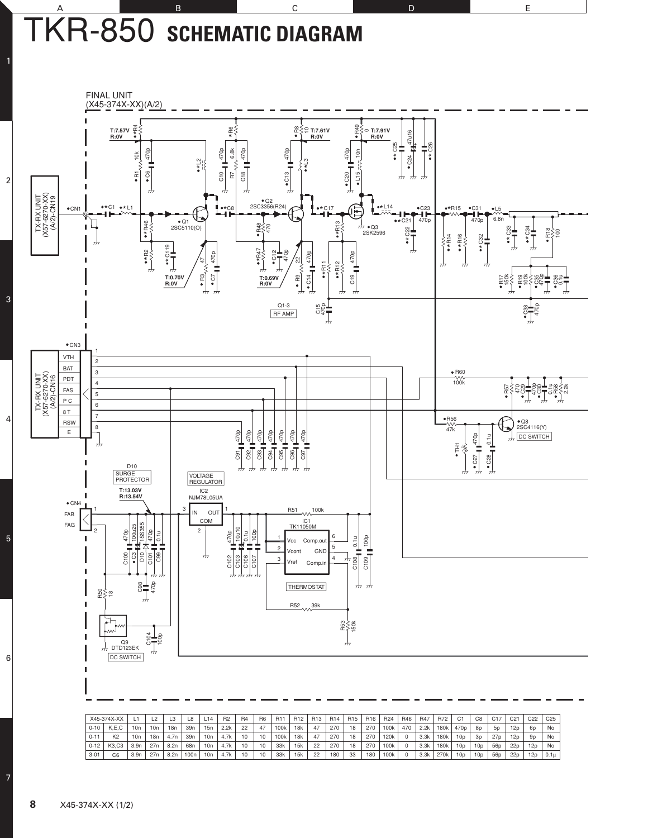### A B B C D D E TKR-850 **SCHEMATIC DIAGRAM**

![](_page_9_Figure_1.jpeg)

|          | X45-374X-XX    |      | L <sub>2</sub> |      |      | L14 | R <sub>2</sub> | <b>R4</b> | R <sub>6</sub> | R <sub>11</sub>  | R <sub>12</sub> | R <sub>13</sub> | R <sub>14</sub> | R <sub>15</sub> | R <sub>16</sub> | R <sub>24</sub> | R46 | <b>R47</b> | R72  | C <sub>1</sub>   | C8              | C <sub>17</sub> | C <sub>21</sub> | C <sub>22</sub> | C <sub>25</sub> |
|----------|----------------|------|----------------|------|------|-----|----------------|-----------|----------------|------------------|-----------------|-----------------|-----------------|-----------------|-----------------|-----------------|-----|------------|------|------------------|-----------------|-----------------|-----------------|-----------------|-----------------|
| $0-10$   | K.E.C          | 10n  | 10n            | 18n  | 39n  | 15n | 2.2k           | 22        | 47             | 100k             | 18k             | 47              | 270             | 18              | 270             | 100k            | 470 | 2.2k       | 180k | 470 <sub>p</sub> | 8p              | 5 <sub>D</sub>  | 12p             | 60              | No              |
| $0 - 11$ | K <sub>2</sub> | 10n  | 18n            | 4.7n | 39n  | 10n | 4.7k           | 10        | 10             | 100 <sub>k</sub> | 18k             | 47              | 270             | 18              | 270             | 120k            |     | 3.3k       | 180k | 10p              | 3 <sub>D</sub>  | 27 <sub>p</sub> | 12 <sub>D</sub> | 9 <sub>D</sub>  | No              |
| $0-12$   | K3.C3          | 3.9n | 27n            | 8.2n | 68n  | 10n | 4.7k           | 10        | 10             | 33k              | 15k             | 22              | 270             | 18              | 270             | 100k            |     | 3.3k       | 180k | 10 <sub>D</sub>  | 10 <sub>D</sub> | 56p             | 22p             | 12p             | No              |
| $3 - 01$ | C <sub>6</sub> | 3.9n | 27n            | 8.2n | 100n | 10n | 4.7k           | 10        | 10             | 33k              | 15k             | 22              | 180             | 33              | 180             | 100k            |     | 3.3k       | 270k | 10 <sub>D</sub>  | 10p             | 56 <sub>D</sub> | 22p             | 12p             | 0.1u            |

7

6

5

4

3

2

1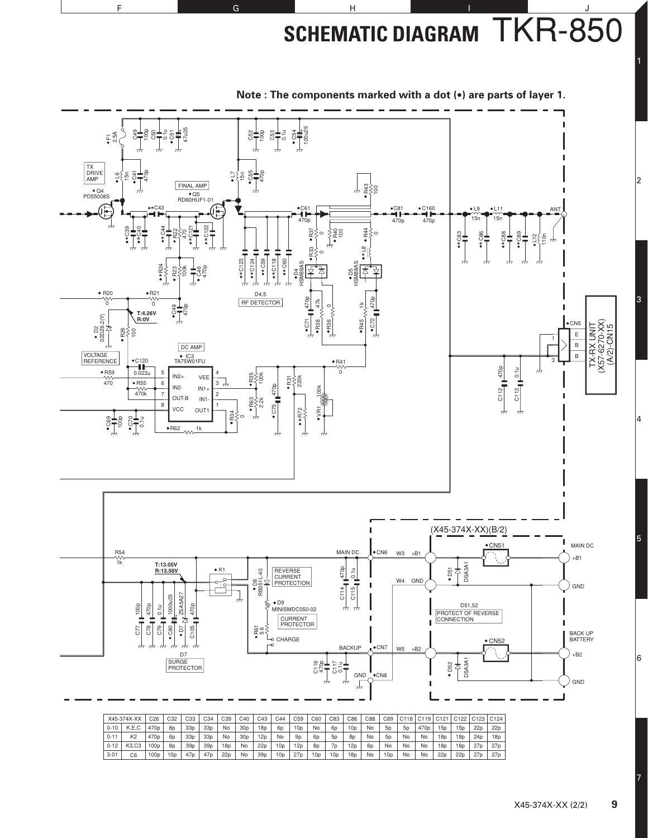**SCHEMATIC DIAGRAM** TKR-850

![](_page_10_Figure_1.jpeg)

**Note : The components marked with a dot (•) are parts of layer 1.**

F G G H I I J

|          | X45-374X-XX    | C26              | C <sub>32</sub> | C33             | C34             | C39 | C40             | C43             | C44             | C <sub>59</sub> | C60             | C83             | C86 | C88            | C89             |                | C118 C119        |                 | C <sub>121</sub> C <sub>122</sub> | C123 C124       |                 |
|----------|----------------|------------------|-----------------|-----------------|-----------------|-----|-----------------|-----------------|-----------------|-----------------|-----------------|-----------------|-----|----------------|-----------------|----------------|------------------|-----------------|-----------------------------------|-----------------|-----------------|
| $0 - 10$ | K.E.C          | 470 <sub>p</sub> | <b>8p</b>       | 33 <sub>D</sub> | 33 <sub>D</sub> | No  | 30 <sub>D</sub> | 18p             | 6p              | 10p             | No              | 60              | 10p | No             | 5 <sub>D</sub>  | 5 <sub>p</sub> | 470 <sub>p</sub> | 15p             | 15p                               | 22p             | 22 <sub>D</sub> |
| $0 - 11$ | K <sub>2</sub> | 470 <sub>p</sub> | 6 <sub>D</sub>  | 33 <sub>D</sub> | 33p             | No  | 30 <sub>D</sub> | 12p             | No              | 9 <sub>D</sub>  | 6 <sub>D</sub>  | 5 <sub>D</sub>  | 8p  | No             | 5 <sub>D</sub>  | No             | No               | 18p             | 18p                               | 24 <sub>D</sub> | 18 <sub>D</sub> |
| $0 - 12$ | K3.C3          | 100 <sub>D</sub> | <b>8p</b>       | 39 <sub>D</sub> | 39 <sub>D</sub> | 18p | No              | 22p             | 10 <sub>D</sub> | 12p             | 8 <sub>D</sub>  | 7 <sub>D</sub>  | 12p | 6 <sub>D</sub> | No              | No             | No               | 18p             | 18p                               | 27 <sub>D</sub> | 27 <sub>D</sub> |
| $3 - 01$ | C6             | 100p             | 10 <sub>D</sub> | 47 <sub>D</sub> | 47 <sub>D</sub> | 22p | No              | 39 <sub>D</sub> | 10 <sub>D</sub> | 27p             | 10 <sub>D</sub> | 10 <sub>D</sub> | 18p | No             | 10 <sub>p</sub> | No             | No               | 22 <sub>D</sub> | 22p                               | 27p             | 27 <sub>D</sub> |

7

6

5

4

3

2

1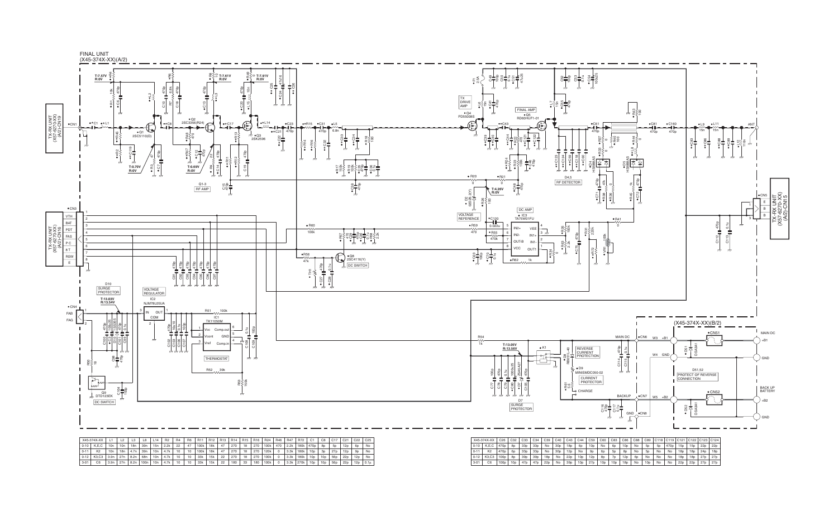|          | 0-10   K,E,C                           | 10n | 10n | 18n  | 39 <sub>n</sub>                         | 15n | 2.2k       | 22 | 47 | 100k               | 18k | 47 | 270 | 18 | 270 | 100k | 470            | 2.2k | 180k             | 1470p           | 8p | 5 <sub>D</sub>  | 12p             | 6 <sub>D</sub> | No       |
|----------|----------------------------------------|-----|-----|------|-----------------------------------------|-----|------------|----|----|--------------------|-----|----|-----|----|-----|------|----------------|------|------------------|-----------------|----|-----------------|-----------------|----------------|----------|
| $0 - 11$ | K <sub>2</sub>                         | 10n | 18n | 4.7n | 39n                                     |     | $10n$ 4.7k | 10 | 10 | 100k               | 18k | 47 | 270 | 18 | 270 | 120k | $\circ$        | 3.3k | 180k             | 10 <sub>p</sub> | 3p | 27p             | 12 <sub>D</sub> | 9 <sub>D</sub> | No       |
|          | 0-12   K3,C3   3.9n   27n   8.2n   68n |     |     |      |                                         |     | $10n$ 4.7k | 10 | 10 | . 33k <sup>.</sup> | 15k | 22 | 270 | 18 | 270 | 100k | $\overline{0}$ | 3.3k | 180k   10p   10p |                 |    | 56 <sub>p</sub> | 22p             | 12p            | No       |
| 3-01     | C <sub>6</sub>                         |     |     |      | $3.9n$   27n   8.2n   100n   10n   4.7k |     |            | 10 | 10 | 33k                | 15k | 22 | 180 | 33 | 180 | 100k | $\overline{0}$ | 3.3k | 270k             | 10p 10p         |    | 56p             | 22p             | 12p            | $0.1\mu$ |

![](_page_11_Figure_0.jpeg)

|          | X45-374X-XX    | C <sub>26</sub>  | C32             | C <sub>33</sub> | C <sub>34</sub> | C <sub>39</sub> | C40             | C43             | C44             | C <sub>59</sub> | C60             | C83             | C86             | C88            | C89             | C118   C119   C121   C122   C123   C124 |                  |                 |                 |                 |     |
|----------|----------------|------------------|-----------------|-----------------|-----------------|-----------------|-----------------|-----------------|-----------------|-----------------|-----------------|-----------------|-----------------|----------------|-----------------|-----------------------------------------|------------------|-----------------|-----------------|-----------------|-----|
| $0 - 10$ | K.E.C          | 470 <sub>p</sub> | 8p              | 33 <sub>D</sub> | 33 <sub>D</sub> | No              | 30 <sub>D</sub> | 18p             | 6 <sub>D</sub>  | 10 <sub>D</sub> | No              | 6 <sub>D</sub>  | 10 <sub>D</sub> | No             | 5 <sub>D</sub>  | <b>5p</b>                               | 470 <sub>p</sub> | 15p             | 15p             | 22p             | 22p |
| $0 - 11$ | K <sub>2</sub> | 470 <sub>p</sub> | 60              | 33 <sub>D</sub> | 33 <sub>D</sub> | No              | 30 <sub>p</sub> | 12 <sub>D</sub> | No              | 9 <sub>D</sub>  | 6 <sub>D</sub>  | 5 <sub>D</sub>  | 8p              | No             | <b>5p</b>       | No                                      | No               | 18p             | 18 <sub>D</sub> | 24 <sub>D</sub> | 18p |
| $0 - 12$ | K3.C3          | 100 <sub>D</sub> | 8p              | 39 <sub>p</sub> | 39 <sub>D</sub> | 18p             | No              | 22p             | 10 <sub>D</sub> | 12p             | <b>8p</b>       | 7 <sub>D</sub>  | 12p             | 6 <sub>D</sub> | No              | No                                      | <b>No</b>        | 18p             | 18p             | 27p             | 27p |
| $3 - 01$ | C <sub>6</sub> | 100p             | 10 <sub>D</sub> | 47 <sub>p</sub> | 47 <sub>p</sub> | 22p             | No              | 39 <sub>D</sub> | 10 <sub>p</sub> | 27 <sub>D</sub> | 10 <sub>D</sub> | 10 <sub>D</sub> | 18p             | No             | 10 <sub>D</sub> | No                                      | No               | 22 <sub>D</sub> | 22p             | 27p             | 27p |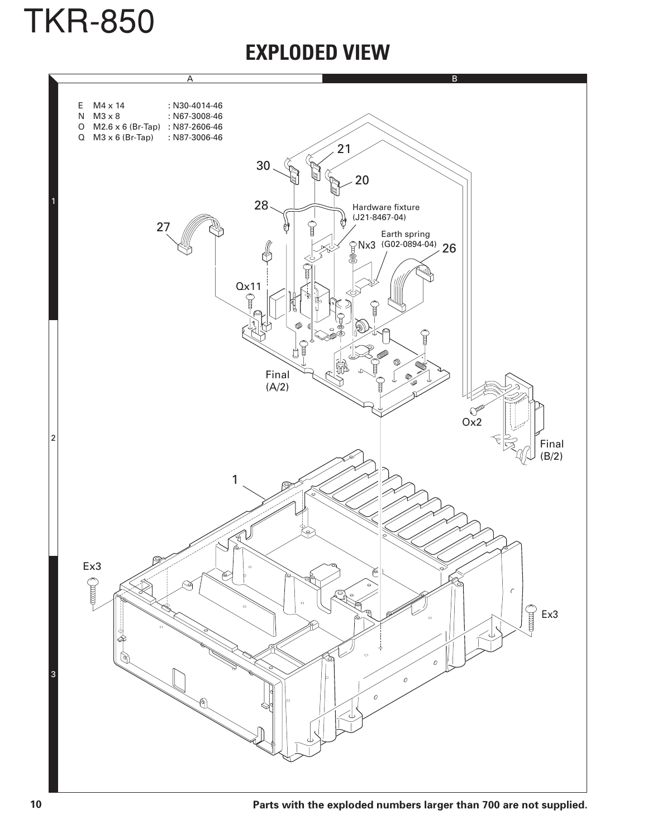![](_page_12_Picture_0.jpeg)

### **EXPLODED VIEW**

![](_page_12_Figure_2.jpeg)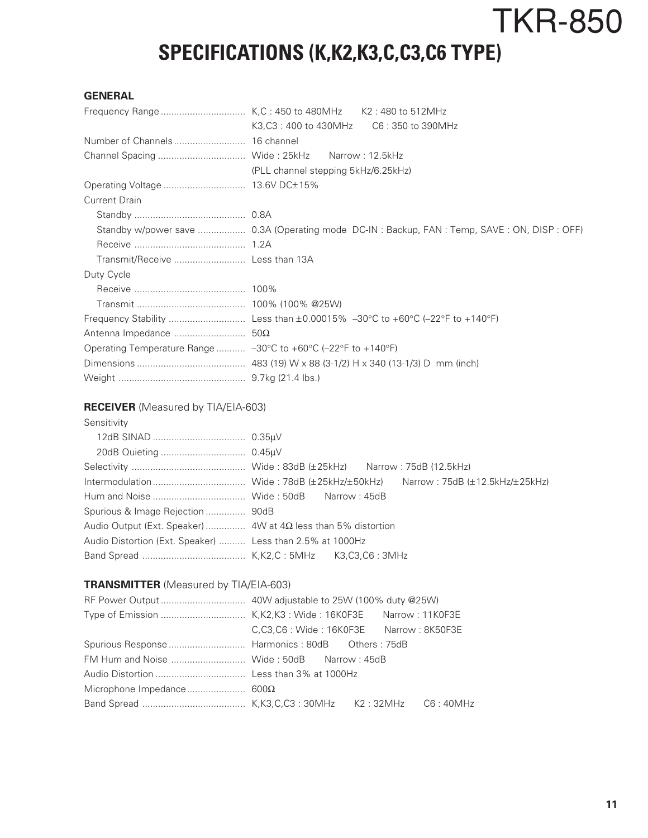# TKR-850 **SPECIFICATIONS (K,K2,K3,C,C3,C6 TYPE)**

#### **GENERAL**

|                                                               | (PLL channel stepping 5kHz/6.25kHz)                                                       |
|---------------------------------------------------------------|-------------------------------------------------------------------------------------------|
|                                                               |                                                                                           |
| <b>Current Drain</b>                                          |                                                                                           |
|                                                               |                                                                                           |
|                                                               | Standby w/power save  0.3A (Operating mode DC-IN: Backup, FAN: Temp, SAVE: ON, DISP: OFF) |
|                                                               |                                                                                           |
| Transmit/Receive  Less than 13A                               |                                                                                           |
| Duty Cycle                                                    |                                                                                           |
|                                                               |                                                                                           |
|                                                               |                                                                                           |
|                                                               |                                                                                           |
|                                                               |                                                                                           |
| Operating Temperature Range  -30°C to +60°C (-22°F to +140°F) |                                                                                           |
|                                                               |                                                                                           |
|                                                               |                                                                                           |

#### **RECEIVER** (Measured by TIA/EIA-603)

Sensitivity

| Audio Output (Ext. Speaker)  4W at $4\Omega$ less than 5% distortion |  |
|----------------------------------------------------------------------|--|
| Audio Distortion (Ext. Speaker)  Less than 2.5% at 1000Hz            |  |
|                                                                      |  |

#### **TRANSMITTER** (Measured by TIA/EIA-603)

| C,C3,C6: Wide: 16K0F3E Narrow: 8K50F3E |  |  |
|----------------------------------------|--|--|
|                                        |  |  |
|                                        |  |  |
|                                        |  |  |
|                                        |  |  |
|                                        |  |  |